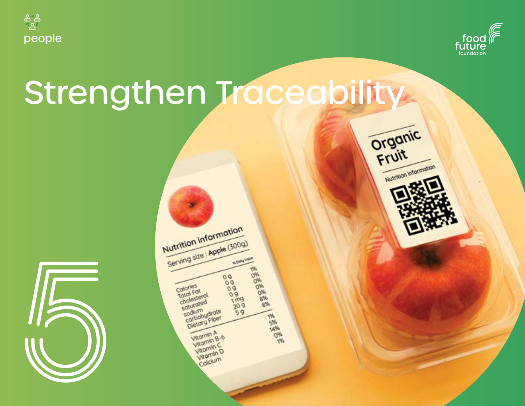



Nutrition information

# Strengthen Traceability



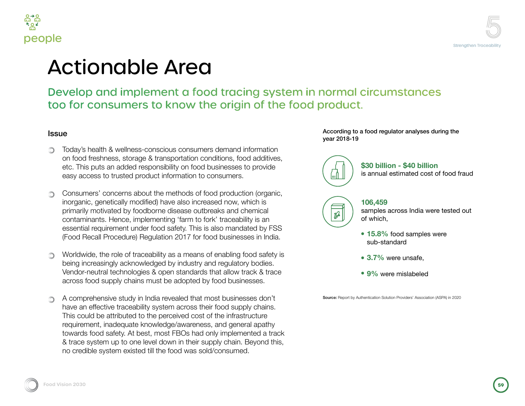



### **onable Area**

### p and implement a food tracing system in normal circumstances consumers to know the origin of the food product.

health & wellness-conscious consumers demand information freshness, storage & transportation conditions, food additives, s puts an added responsibility on food businesses to provide cess to trusted product information to consumers.

ners' concerns about the methods of food production (organic, c, genetically modified) have also increased now, which is  $\overline{p}$  motivated by foodborne disease outbreaks and chemical nants. Hence, implementing 'farm to fork' traceability is an I requirement under food safety. This is also mandated by FSS ecall Procedure) Regulation 2017 for food businesses in India.

de, the role of traceability as a means of enabling food safety is creasingly acknowledged by industry and regulatory bodies. neutral technologies & open standards that allow track & trace ood supply chains must be adopted by food businesses.

rehensive study in India revealed that most businesses don't effective traceability system across their food supply chains. Id be attributed to the perceived cost of the infrastructure hent, inadequate knowledge/awareness, and general apathy food safety. At best, most FBOs had only implemented a track system up to one level down in their supply chain. Beyond this, ble system existed till the food was sold/consumed.

According to a food regulator analyses during the year 2018-19

#### **\$30 billion - \$40 billion** is annual estimated cost of food fraud

#### **106,459**

 $\n *D*$ 

samples across India were tested out of which,

- **15.8%** food samples were sub-standard
- **3.7%** were unsafe,
- **9%** were mislabeled

Source: Report by Authentication Solution Providers' Association (ASPA) in 2020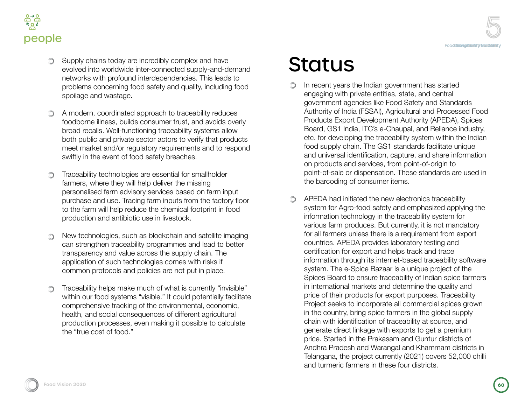



- **Supply chains today are incredibly complex and have** evolved into worldwide inter-connected supply-and-demand networks with profound interdependencies. This leads to problems concerning food safety and quality, including food spoilage and wastage.
- A modern, coordinated approach to traceability reduces foodborne illness, builds consumer trust, and avoids overly broad recalls. Well-functioning traceability systems allow both public and private sector actors to verify that products meet market and/or regulatory requirements and to respond swiftly in the event of food safety breaches.
- Traceability technologies are essential for smallholder ∩ farmers, where they will help deliver the missing personalised farm advisory services based on farm input purchase and use. Tracing farm inputs from the factory floor to the farm will help reduce the chemical footprint in food production and antibiotic use in livestock.
- New technologies, such as blockchain and satellite imaging  $\bigcirc$ can strengthen traceability programmes and lead to better transparency and value across the supply chain. The application of such technologies comes with risks if common protocols and policies are not put in place.
- Traceability helps make much of what is currently "invisible" within our food systems "visible." It could potentially facilitate comprehensive tracking of the environmental, economic, health, and social consequences of different agricultural production processes, even making it possible to calculate the "true cost of food."

# **Status**

- In recent years the Indian government has started  $\bigcirc$ engaging with private entities, state, and central government agencies like Food Safety and Standards Authority of India (FSSAI), Agricultural and Processed Food Products Export Development Authority (APEDA), Spices Board, GS1 India, ITC's e-Chaupal, and Reliance industry, etc. for developing the traceability system within the Indian food supply chain. The GS1 standards facilitate unique and universal identification, capture, and share information on products and services, from point-of-origin to point-of-sale or dispensation. These standards are used in the barcoding of consumer items.
- APEDA had initiated the new electronics traceability  $\bigcirc$ system for Agro-food safety and emphasized applying the information technology in the traceability system for various farm produces. But currently, it is not mandatory for all farmers unless there is a requirement from export countries. APEDA provides laboratory testing and certification for export and helps track and trace information through its internet-based traceability software system. The e-Spice Bazaar is a unique project of the Spices Board to ensure traceability of Indian spice farmers in international markets and determine the quality and price of their products for export purposes. Traceability Project seeks to incorporate all commercial spices grown in the country, bring spice farmers in the global supply chain with identification of traceability at source, and generate direct linkage with exports to get a premium price. Started in the Prakasam and Guntur districts of Andhra Pradesh and Warangal and Khammam districts in Telangana, the project currently (2021) covers 52,000 chilli and turmeric farmers in these four districts.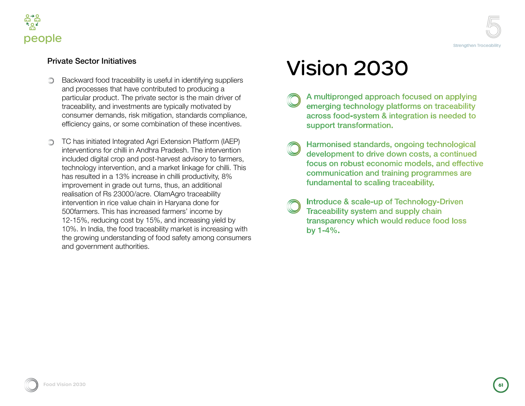

#### Private Sector Initiatives

- Backward food traceability is useful in identifying suppliers  $\bigcirc$ and processes that have contributed to producing a particular product. The private sector is the main driver of traceability, and investments are typically motivated by consumer demands, risk mitigation, standards compliance, efficiency gains, or some combination of these incentives.
- TC has initiated Integrated Agri Extension Platform (IAEP) interventions for chilli in Andhra Pradesh. The intervention included digital crop and post-harvest advisory to farmers, technology intervention, and a market linkage for chilli. This has resulted in a 13% increase in chilli productivity, 8% improvement in grade out turns, thus, an additional realisation of Rs 23000/acre. OlamAgro traceability intervention in rice value chain in Haryana done for 500farmers. This has increased farmers' income by 12-15%, reducing cost by 15%, and increasing yield by 10%. In India, the food traceability market is increasing with the growing understanding of food safety among consumers and government authorities.

## Vision 2030

- A multipronged approach focused on applying emerging technology platforms on traceability across food-system & integration is needed to support transformation.
- Harmonised standards, ongoing technological development to drive down costs, a continued focus on robust economic models, and effective communication and training programmes are fundamental to scaling traceability.
- Introduce & scale-up of Technology-Driven Traceability system and supply chain transparency which would reduce food loss by  $1 - 4\%$ .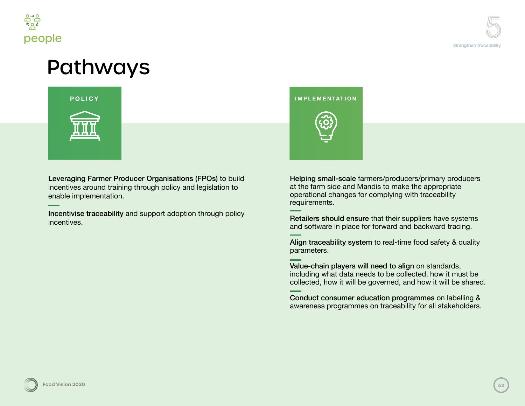

### Pathways



Leveraging Farmer Producer Organisations (FPOs) to build incentives around training through policy and legislation to enable implementation.

Incentivise traceability and support adoption through policy incentives.

### **POLICY IMPLEMENTATION**



Helping small-scale farmers/producers/primary producers at the farm side and Mandis to make the appropriate operational changes for complying with traceability requirements.

Retailers should ensure that their suppliers have systems and software in place for forward and backward tracing.

Align traceability system to real-time food safety & quality parameters.

Value-chain players will need to align on standards, including what data needs to be collected, how it must be collected, how it will be governed, and how it will be shared.

Conduct consumer education programmes on labelling & awareness programmes on traceability for all stakeholders.